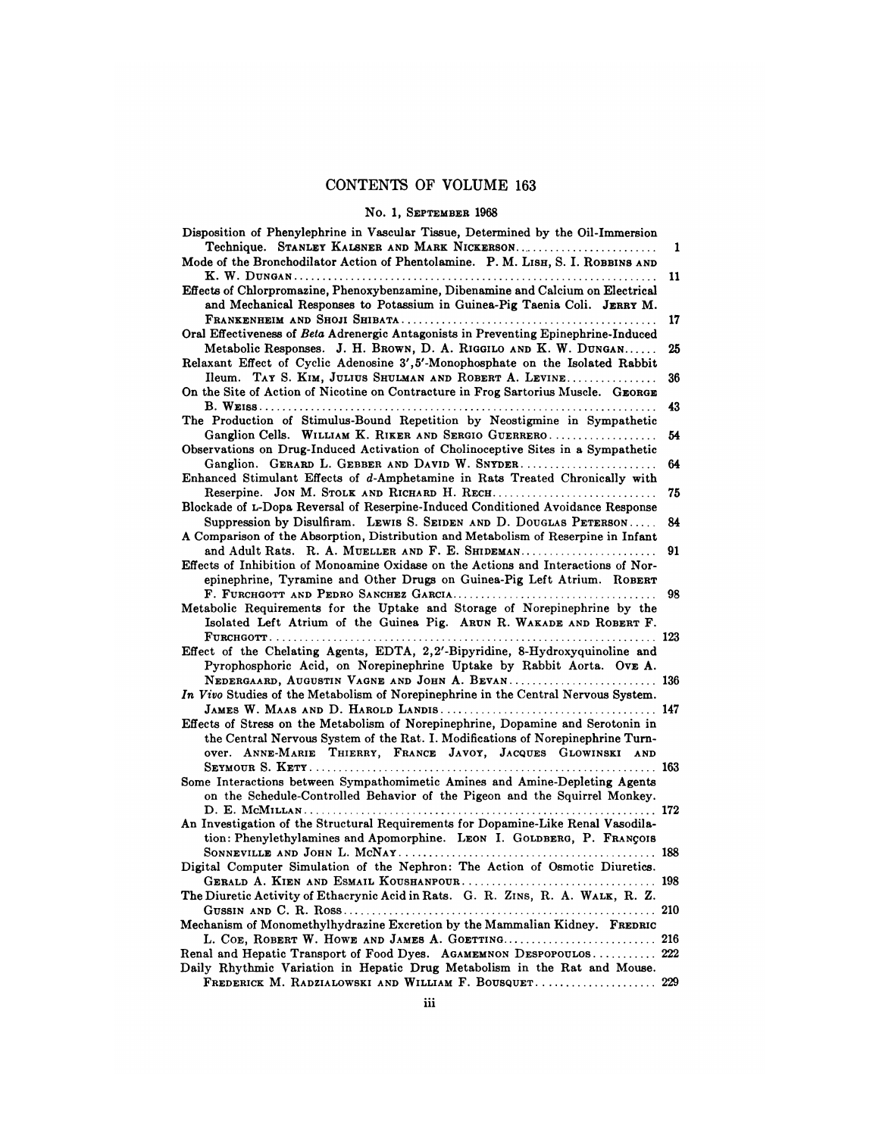## CONTENTS OF VOLUME 163 **ENTS OF VOLUME 16:**<br>No. 1, SEPTEMBER 1968<br>Vascular Tissue, Determined

| <b>CONTENTS OF VOLUME 163</b>                                                                                                                                                                                                        |          |
|--------------------------------------------------------------------------------------------------------------------------------------------------------------------------------------------------------------------------------------|----------|
| No. 1, SEPTEMBER 1968                                                                                                                                                                                                                |          |
| Disposition of Phenylephrine in Vascular Tissue, Determined by the Oil-Immersion<br>Technique. STANLEY KALSNER AND MARK NICKERSON<br>Mode of the Bronchodilator Action of Phentolamine. P. M. LISH, S. I. ROBBINS AND                | ı<br>11  |
| Effects of Chlorpromazine, Phenoxybenzamine, Dibenamine and Calcium on Electrical<br>and Mechanical Responses to Potassium in Guinea-Pig Taenia Coli. JERRY M.                                                                       |          |
| Oral Effectiveness of Beta Adrenergic Antagonists in Preventing Epinephrine-Induced<br>Metabolic Responses. J. H. BROWN, D. A. RIGGILO AND K. W. DUNGAN                                                                              | 17<br>25 |
| Relaxant Effect of Cyclic Adenosine 3',5'-Monophosphate on the Isolated Rabbit<br>Ileum. TAY S. KIM, JULIUS SHULMAN AND ROBERT A. LEVINE                                                                                             | 36       |
| On the Site of Action of Nicotine on Contracture in Frog Sartorius Muscle. GEORGE                                                                                                                                                    | 43       |
| The Production of Stimulus-Bound Repetition by Neostigmine in Sympathetic<br>Ganglion Cells. WILLIAM K. RIKER AND SERGIO GUERRERO<br>Observations on Drug-Induced Activation of Cholinoceptive Sites in a Sympathetic                | 54       |
| Ganglion. GERARD L. GEBBER AND DAVID W. SNYDER<br>Enhanced Stimulant Effects of d-Amphetamine in Rats Treated Chronically with                                                                                                       | 64       |
| Blockade of L-Dopa Reversal of Reserpine-Induced Conditioned Avoidance Response<br>Suppression by Disulfiram. LEWIS S. SEIDEN AND D. DOUGLAS PETERSON                                                                                | 75<br>84 |
| A Comparison of the Absorption, Distribution and Metabolism of Reserpine in Infant<br>and Adult Rats. R. A. MUELLER AND F. E. SHIDEMAN                                                                                               | 91       |
| Effects of Inhibition of Monoamine Oxidase on the Actions and Interactions of Nor-<br>epinephrine, Tyramine and Other Drugs on Guinea-Pig Left Atrium. ROBERT                                                                        |          |
| Metabolic Requirements for the Uptake and Storage of Norepinephrine by the<br>Isolated Left Atrium of the Guinea Pig. ARUN R. WAKADE AND ROBERT F.                                                                                   | 98       |
| Effect of the Chelating Agents, EDTA, 2,2'-Bipyridine, 8-Hydroxyquinoline and<br>Pyrophosphoric Acid, on Norepinephrine Uptake by Rabbit Aorta. Ove A.                                                                               |          |
| NEDERGAARD, AUGUSTIN VAGNE AND JOHN A. BEVAN 136<br>In Vivo Studies of the Metabolism of Norepinephrine in the Central Nervous System.                                                                                               |          |
| Effects of Stress on the Metabolism of Norepinephrine, Dopamine and Serotonin in<br>the Central Nervous System of the Rat. I. Modifications of Norepinephrine Turn-<br>OVET. ANNE-MARIE THIERRY, FRANCE JAVOY, JACQUES GLOWINSKI AND |          |
| Some Interactions between Sympathomimetic Amines and Amine-Depleting Agents<br>on the Schedule-Controlled Behavior of the Pigeon and the Squirrel Monkey.                                                                            |          |
| An Investigation of the Structural Requirements for Dopamine-Like Renal Vasodila-<br>tion: Phenylethylamines and Apomorphine. LEON I. GOLDBERG, P. FRANÇOIS                                                                          |          |
| Digital Computer Simulation of the Nephron: The Action of Osmotic Diuretics.                                                                                                                                                         |          |
| The Diuretic Activity of Ethacrynic Acid in Rats. G. R. ZINS, R. A. WALK, R. Z.                                                                                                                                                      |          |
| Mechanism of Monomethylhydrazine Excretion by the Mammalian Kidney. FREDRIC                                                                                                                                                          |          |
| Renal and Hepatic Transport of Food Dyes. AGAMEMNON DESPOPOULOS 222<br>Daily Rhythmic Variation in Hepatic Drug Metabolism in the Rat and Mouse.<br>FREDERICK M. RADZIALOWSKI AND WILLIAM F. BOUSQUET.                               | 229      |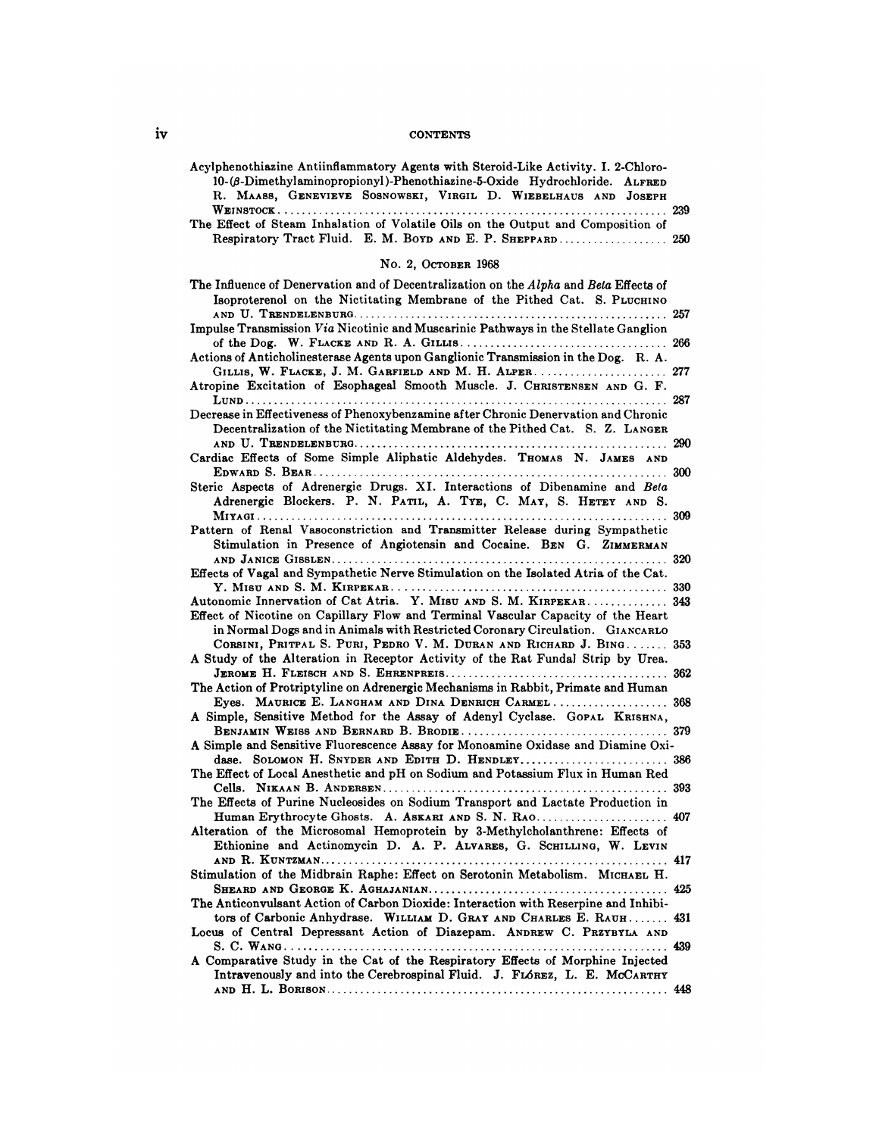## iv CONTENTS

| <b>CONTENTS</b>                                                                                                                                                                                                                                                                                                                                                                                                                                                                                                                                                                                                                                                                                                                                                                                                                                                                                                                                                                                                                                                                                                                                                                                                                                                                                                                                                                                                                                                                                                                                                                                                                                                                                                                                                                                                                                                                                                                                                                                                                                                                                                                                                                                                                                                                                                                                                                                                                                                              |                   |
|------------------------------------------------------------------------------------------------------------------------------------------------------------------------------------------------------------------------------------------------------------------------------------------------------------------------------------------------------------------------------------------------------------------------------------------------------------------------------------------------------------------------------------------------------------------------------------------------------------------------------------------------------------------------------------------------------------------------------------------------------------------------------------------------------------------------------------------------------------------------------------------------------------------------------------------------------------------------------------------------------------------------------------------------------------------------------------------------------------------------------------------------------------------------------------------------------------------------------------------------------------------------------------------------------------------------------------------------------------------------------------------------------------------------------------------------------------------------------------------------------------------------------------------------------------------------------------------------------------------------------------------------------------------------------------------------------------------------------------------------------------------------------------------------------------------------------------------------------------------------------------------------------------------------------------------------------------------------------------------------------------------------------------------------------------------------------------------------------------------------------------------------------------------------------------------------------------------------------------------------------------------------------------------------------------------------------------------------------------------------------------------------------------------------------------------------------------------------------|-------------------|
| Acylphenothiazine Antiinflammatory Agents with Steroid-Like Activity. I. 2-Chloro-<br>10-(β-Dimethylaminopropionyl)-Phenothiazine-5-Oxide Hydrochloride. ALFRED<br>R. MAASS, GENEVIEVE SOSNOWSKI, VIRGIL D. WIEBELHAUS AND JOSEPH<br>The Effect of Steam Inhalation of Volatile Oils on the Output and Composition of<br>Respiratory Tract Fluid. E. M. BOYD AND E. P. SHEPPARD 250                                                                                                                                                                                                                                                                                                                                                                                                                                                                                                                                                                                                                                                                                                                                                                                                                                                                                                                                                                                                                                                                                                                                                                                                                                                                                                                                                                                                                                                                                                                                                                                                                                                                                                                                                                                                                                                                                                                                                                                                                                                                                          |                   |
| No. 2, OCTOBER 1968                                                                                                                                                                                                                                                                                                                                                                                                                                                                                                                                                                                                                                                                                                                                                                                                                                                                                                                                                                                                                                                                                                                                                                                                                                                                                                                                                                                                                                                                                                                                                                                                                                                                                                                                                                                                                                                                                                                                                                                                                                                                                                                                                                                                                                                                                                                                                                                                                                                          |                   |
| The Influence of Denervation and of Decentralization on the Alpha and Beta Effects of<br>Isoproterenol on the Nictitating Membrane of the Pithed Cat. S. PLUCHINO<br>Impulse Transmission Via Nicotinic and Muscarinic Pathways in the Stellate Ganglion<br>Actions of Anticholinesterase Agents upon Ganglionic Transmission in the Dog. R. A.<br>GILLIS, W. FLACKE, J. M. GARFIELD AND M. H. ALPER 277<br>Atropine Excitation of Esophageal Smooth Muscle. J. CHRISTENSEN AND G. F.<br>Decrease in Effectiveness of Phenoxybenzamine after Chronic Denervation and Chronic<br>Decentralization of the Nictitating Membrane of the Pithed Cat. S. Z. LANGER<br>Cardiac Effects of Some Simple Aliphatic Aldehydes. THOMAS N. JAMES AND<br>Steric Aspects of Adrenergic Drugs. XI. Interactions of Dibenamine and Beta<br>Adrenergic Blockers. P. N. PATIL, A. TYE, C. MAY, S. HETEY AND S.<br>Pattern of Renal Vasoconstriction and Transmitter Release during Sympathetic<br>Stimulation in Presence of Angiotensin and Cocaine. BEN G. ZIMMERMAN<br>Effects of Vagal and Sympathetic Nerve Stimulation on the Isolated Atria of the Cat.<br>Autonomic Innervation of Cat Atria. Y. MISU AND S. M. KIRPEKAR 343<br>Effect of Nicotine on Capillary Flow and Terminal Vascular Capacity of the Heart<br>in Normal Dogs and in Animals with Restricted Coronary Circulation. GIANCARLO<br>CORSINI, PRITPAL S. PURI, PEDRO V. M. DURAN AND RICHARD J. BING 353<br>A Study of the Alteration in Receptor Activity of the Rat Fundal Strip by Urea.<br>The Action of Protriptyline on Adrenergic Mechanisms in Rabbit, Primate and Human<br>Eyes. MAURICE E. LANGHAM AND DINA DENRICH CARMEL<br>A Simple, Sensitive Method for the Assay of Adenyl Cyclase. GOPAL KRISHNA,<br>A Simple and Sensitive Fluorescence Assay for Monoamine Oxidase and Diamine Oxi-<br>dase. SOLOMON H. SNYDER AND EDITH D. HENDLEY 386<br>The Effect of Local Anesthetic and pH on Sodium and Potassium Flux in Human Red<br>The Effects of Purine Nucleosides on Sodium Transport and Lactate Production in<br>Human Erythrocyte Ghosts. A. ASKARI AND S. N. RAO 407<br>Alteration of the Microsomal Hemoprotein by 3-Methylcholanthrene: Effects of<br>Ethionine and Actinomycin D. A. P. ALVARES, G. SCHILLING, W. LEVIN<br>Stimulation of the Midbrain Raphe: Effect on Serotonin Metabolism. MICHAEL H.<br>The Anticonvulsant Action of Carbon Dioxide: Interaction with Reserpine and Inhibi- | 290<br>320<br>368 |
| tors of Carbonic Anhydrase. WILLIAM D. GRAY AND CHARLES E. RAUH<br>Locus of Central Depressant Action of Diazepam. ANDREW C. PRZYBYLA AND                                                                                                                                                                                                                                                                                                                                                                                                                                                                                                                                                                                                                                                                                                                                                                                                                                                                                                                                                                                                                                                                                                                                                                                                                                                                                                                                                                                                                                                                                                                                                                                                                                                                                                                                                                                                                                                                                                                                                                                                                                                                                                                                                                                                                                                                                                                                    | 431               |
| A Comparative Study in the Cat of the Respiratory Effects of Morphine Injected<br>Intravenously and into the Cerebrospinal Fluid. J. FLÓREZ, L. E. MCCARTHY                                                                                                                                                                                                                                                                                                                                                                                                                                                                                                                                                                                                                                                                                                                                                                                                                                                                                                                                                                                                                                                                                                                                                                                                                                                                                                                                                                                                                                                                                                                                                                                                                                                                                                                                                                                                                                                                                                                                                                                                                                                                                                                                                                                                                                                                                                                  |                   |